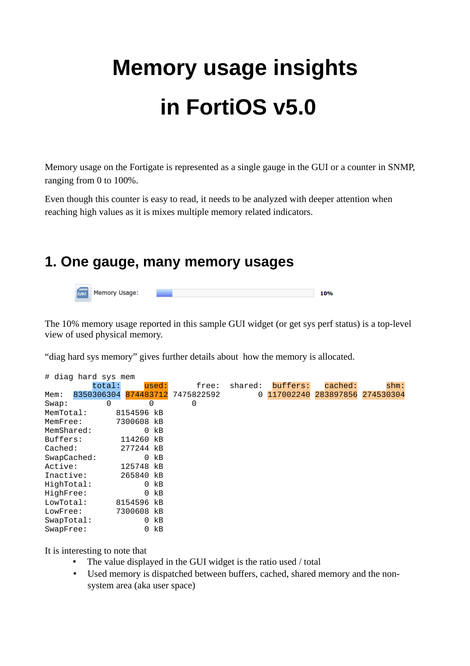# **Memory usage insights in FortiOS v5.0**

Memory usage on the Fortigate is represented as a single gauge in the GUI or a counter in SNMP, ranging from 0 to 100%.

Even though this counter is easy to read, it needs to be analyzed with deeper attention when reaching high values as it is mixes multiple memory related indicators.

### **1. One gauge, many memory usages**



The 10% memory usage reported in this sample GUI widget (or get sys perf status) is a top-level view of used physical memory.

"diag hard sys memory" gives further details about how the memory is allocated.

|            |   |                       |                       | free:                                                                                                               | buffers:                                   | cached: | $shm$ :                         |
|------------|---|-----------------------|-----------------------|---------------------------------------------------------------------------------------------------------------------|--------------------------------------------|---------|---------------------------------|
|            |   |                       |                       |                                                                                                                     |                                            |         |                                 |
|            | 0 |                       |                       | 0                                                                                                                   |                                            |         |                                 |
| MemTotal:  |   |                       |                       |                                                                                                                     |                                            |         |                                 |
| MemFree:   |   |                       |                       |                                                                                                                     |                                            |         |                                 |
| MemShared: |   | 0                     | kB                    |                                                                                                                     |                                            |         |                                 |
| Buffers:   |   |                       | kB                    |                                                                                                                     |                                            |         |                                 |
| Cached:    |   |                       |                       |                                                                                                                     |                                            |         |                                 |
|            |   | 0                     | kB                    |                                                                                                                     |                                            |         |                                 |
| Active:    |   |                       |                       |                                                                                                                     |                                            |         |                                 |
| Inactive:  |   |                       |                       |                                                                                                                     |                                            |         |                                 |
| HighTotal: |   | 0                     | kB                    |                                                                                                                     |                                            |         |                                 |
| HighFree:  |   | 0                     | kB                    |                                                                                                                     |                                            |         |                                 |
| LowTotal:  |   |                       |                       |                                                                                                                     |                                            |         |                                 |
| LowFree:   |   |                       |                       |                                                                                                                     |                                            |         |                                 |
| SwapTotal: |   | 0                     | kB                    |                                                                                                                     |                                            |         |                                 |
| SwapFree:  |   | 0                     | kB                    |                                                                                                                     |                                            |         |                                 |
|            |   | total:<br>SwapCached: | $#$ diag hard sys mem | used:<br>0<br>8154596 kB<br>7300608 kB<br>114260<br>277244 kB<br>125748 kB<br>265840 kB<br>8154596 kB<br>7300608 kB | shared:<br>8350306304 874483712 7475822592 |         | 0 117002240 283897856 274530304 |

It is interesting to note that

- The value displayed in the GUI widget is the ratio used / total
- Used memory is dispatched between buffers, cached, shared memory and the nonsystem area (aka user space)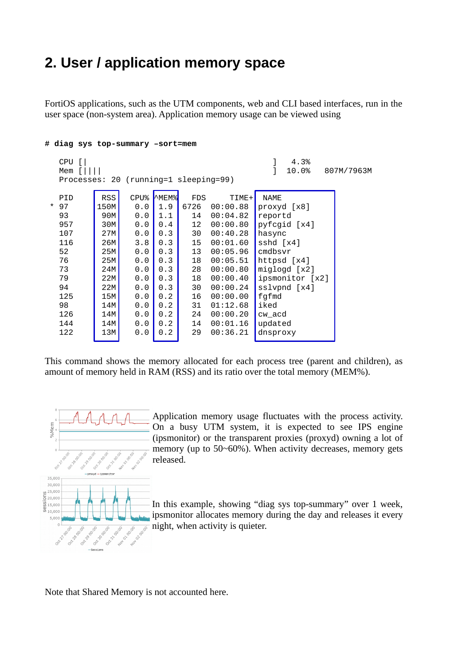# **2. User / application memory space**

FortiOS applications, such as the UTM components, web and CLI based interfaces, run in the user space (non-system area). Application memory usage can be viewed using

#### **# diag sys top-summary –sort=mem**

```
 CPU [| ] 4.3%
   Mem \overline{1} |||| \overline{1} 10.0% 807M/7963M
    Processes: 20 (running=1 sleeping=99)
PID | RSS| CPU%|^MEM%| FDS | TIME+| NAME
 * 97 \begin{array}{|c|c|c|c|c|c|c|c|c|} \hline \text{*} & \text{97} & \text{150M} & \text{0.0} & \text{1.9} & \text{6726} & \text{00:00.88} & \text{proxyd [x8]} \\ \hline \text{93} & \text{90M} & \text{0.0} & \text{1.1} & \text{14} & \text{00:04.82} & \text{reportd} \end{array} 93 90M 0.0 1.1 14 00:04.82 reportd
    957 30M 0.0 0.4 12 00:00.80 pyfcgid [x4]
    107 27M 0.0 0.3 30 00:40.28 hasync
   116 26M 3.8 0.3 15 00:01.60 sshd [x4]<br>52 25M 0.0 0.3 13 00:05.96 cmdbsvr
   52 25M 0.0 0.3 13 00:05.96 cmdbsvr<br>76 25M 0.0 0.3 18 00:05.51 httpsd
    76 25M 0.0 0.3 18 00:05.51 httpsd [x4]
    73 24M 0.0 0.3 28 00:00.80 miglogd [x2]
    79 22M 0.0 0.3 18 00:00.40 ipsmonitor [x2]
   94 22M 0.0 0.3 30 00:00.24 sslvpnd [x4]<br>125 15M 0.0 0.2 16 00:00.00 fgfmd
   125 | 15M | 0.0 0.2 | 16 00:00.00 | fgfmd
   98 | 14M | 0.0 | 0.2 | 31 01:12.68 | iked
   126 | 14M | 0.0 | 0.2 | 24 00:00.20 | CW_acd
   144 | 14M | 0.0 | 0.2 | 14 00:01.16 | updated
   122 | 13M | 0.0 0.2 | 29 00:36.21 | dnsproxy
```
This command shows the memory allocated for each process tree (parent and children), as amount of memory held in RAM (RSS) and its ratio over the total memory (MEM%).



Application memory usage fluctuates with the process activity. On a busy UTM system, it is expected to see IPS engine (ipsmonitor) or the transparent proxies (proxyd) owning a lot of memory (up to 50~60%). When activity decreases, memory gets released.

In this example, showing "diag sys top-summary" over 1 week, ipsmonitor allocates memory during the day and releases it every night, when activity is quieter.

Note that Shared Memory is not accounted here.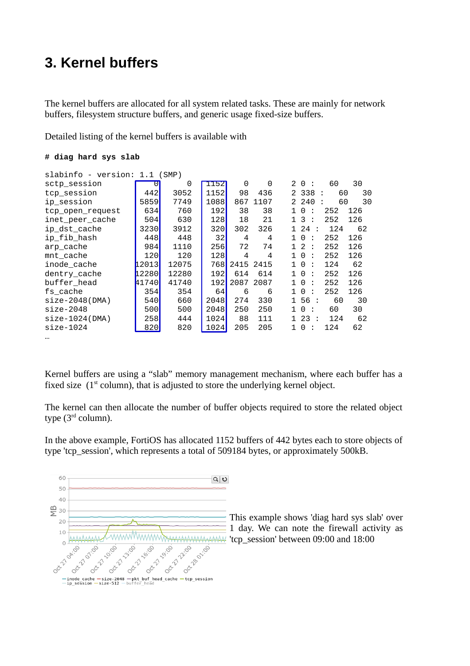## **3. Kernel buffers**

The kernel buffers are allocated for all system related tasks. These are mainly for network buffers, filesystem structure buffers, and generic usage fixed-size buffers.

Detailed listing of the kernel buffers is available with

#### **# diag hard sys slab**

| slabinfo - version: 1.1 (SMP) |                       |       |               |           |      |              |                     |           |     |  |  |
|-------------------------------|-----------------------|-------|---------------|-----------|------|--------------|---------------------|-----------|-----|--|--|
| sctp_session                  | $\boldsymbol{\Theta}$ | 0     | 1152          | 0         | 0    |              | 20:                 | 60        | 30  |  |  |
| tcp_session                   | 442                   | 3052  | 1152l         | 98        | 436  |              | 2 338               | 60<br>- 1 | 30  |  |  |
| ip_session                    | 5859                  | 7749  | 1088l         | 867       | 1107 |              | 2 240               | 60<br>÷   | 30  |  |  |
| tcp_open_request              | 634                   | 760   | 192           | 38        | 38   | $\mathbf{1}$ | $\Theta$<br>÷       | 252       | 126 |  |  |
| inet_peer_cache               | 504                   | 630   | 128I          | 18        | 21   |              | 13:                 | 252       | 126 |  |  |
| ip_dst_cache                  | 3230                  | 3912  | 320           | 302       | 326  |              | 124:                | 124       | 62  |  |  |
| ip_fib_hash                   | 448                   | 448   | 32            | 4         | 4    | $\mathbf{1}$ | 0<br>÷              | 252       | 126 |  |  |
| arp_cache                     | 984                   | 1110  | <b>256</b>    | 72        | 74   |              | 1 2<br>$\mathbb{R}$ | 252       | 126 |  |  |
| mnt_cache                     | 120                   | 120   | 128           | 4         | 4    |              | 10<br>÷             | 252       | 126 |  |  |
| inode_cache                   | 12013I                | 12075 | 768I          | 2415 2415 |      |              | 10<br>÷             | 124       | 62  |  |  |
| dentry_cache                  | 12280l                | 12280 | 192I          | 614       | 614  |              | 10<br>÷             | 252       | 126 |  |  |
| buffer_head                   | 41740                 | 41740 | 192           | 2087 2087 |      |              | 10<br>÷             | 252       | 126 |  |  |
| fs_cache                      | 354                   | 354   | 64            | 6         | 6    | $\mathbf{1}$ | 0<br>÷              | 252       | 126 |  |  |
| size-2048(DMA)                | 540l                  | 660   | 2048 <b>1</b> | 274       | 330  |              | 156:                | 60        | 30  |  |  |
| $size-2048$                   | 500                   | 500   | 2048I         | 250       | 250  | $\mathbf{1}$ | $\Theta$ :          | 60        | 30  |  |  |
| size-1024(DMA)                | 258                   | 444   | 1024 <b>1</b> | 88        | 111  |              | 123:                | 124       | 62  |  |  |
| size-1024                     | 820                   | 820   | 1024          | 205       | 205  |              | 10<br>- 1           | 124       | 62  |  |  |
|                               |                       |       |               |           |      |              |                     |           |     |  |  |

Kernel buffers are using a "slab" memory management mechanism, where each buffer has a fixed size  $(1<sup>st</sup> column)$ , that is adjusted to store the underlying kernel object.

The kernel can then allocate the number of buffer objects required to store the related object type (3<sup>rd</sup> column).

In the above example, FortiOS has allocated 1152 buffers of 442 bytes each to store objects of type 'tcp\_session', which represents a total of 509184 bytes, or approximately 500kB.



This example shows 'diag hard sys slab' over 1 day. We can note the firewall activity as 'tcp\_session' between 09:00 and 18:00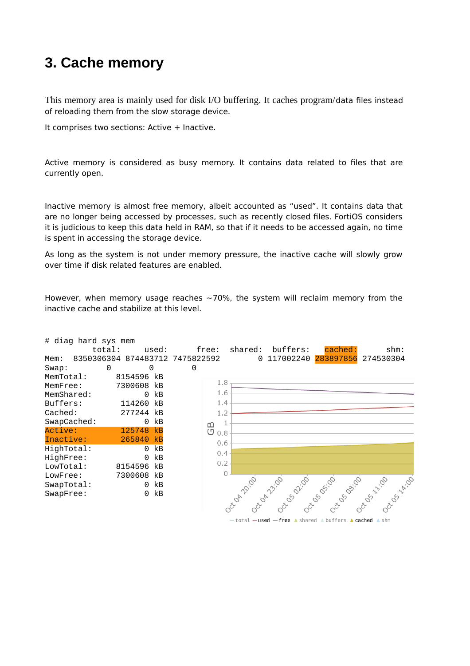## **3. Cache memory**

This memory area is mainly used for disk I/O buffering. It caches program/data files instead of reloading them from the slow storage device.

It comprises two sections: Active + Inactive.

Active memory is considered as busy memory. It contains data related to files that are currently open.

Inactive memory is almost free memory, albeit accounted as "used". It contains data that are no longer being accessed by processes, such as recently closed files. FortiOS considers it is judicious to keep this data held in RAM, so that if it needs to be accessed again, no time is spent in accessing the storage device.

As long as the system is not under memory pressure, the inactive cache will slowly grow over time if disk related features are enabled.

However, when memory usage reaches  $\sim$  70%, the system will reclaim memory from the inactive cache and stabilize at this level.